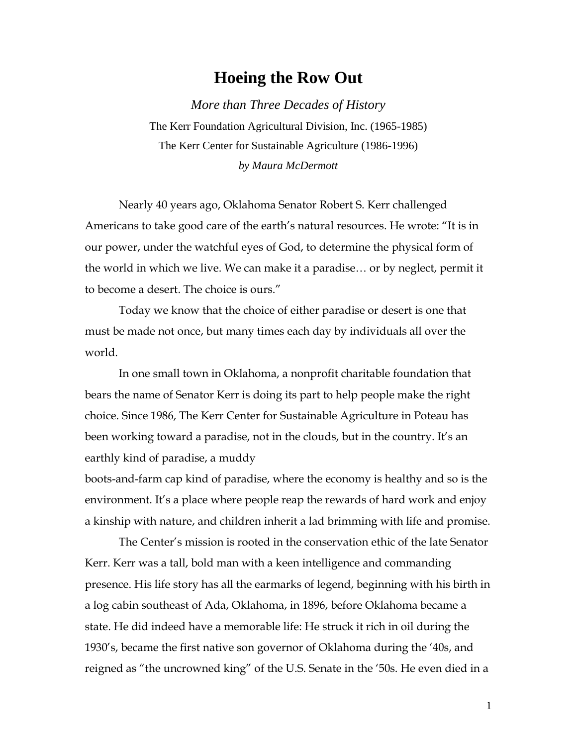## **Hoeing the Row Out**

*More than Three Decades of History* The Kerr Foundation Agricultural Division, Inc. (1965-1985) The Kerr Center for Sustainable Agriculture (1986-1996) *by Maura McDermott* 

Nearly 40 years ago, Oklahoma Senator Robert S. Kerr challenged Americans to take good care of the earth's natural resources. He wrote: "It is in our power, under the watchful eyes of God, to determine the physical form of the world in which we live. We can make it a paradise… or by neglect, permit it to become a desert. The choice is ours."

Today we know that the choice of either paradise or desert is one that must be made not once, but many times each day by individuals all over the world.

In one small town in Oklahoma, a nonprofit charitable foundation that bears the name of Senator Kerr is doing its part to help people make the right choice. Since 1986, The Kerr Center for Sustainable Agriculture in Poteau has been working toward a paradise, not in the clouds, but in the country. It's an earthly kind of paradise, a muddy

boots-and-farm cap kind of paradise, where the economy is healthy and so is the environment. It's a place where people reap the rewards of hard work and enjoy a kinship with nature, and children inherit a lad brimming with life and promise.

The Center's mission is rooted in the conservation ethic of the late Senator Kerr. Kerr was a tall, bold man with a keen intelligence and commanding presence. His life story has all the earmarks of legend, beginning with his birth in a log cabin southeast of Ada, Oklahoma, in 1896, before Oklahoma became a state. He did indeed have a memorable life: He struck it rich in oil during the 1930's, became the first native son governor of Oklahoma during the '40s, and reigned as "the uncrowned king" of the U.S. Senate in the '50s. He even died in a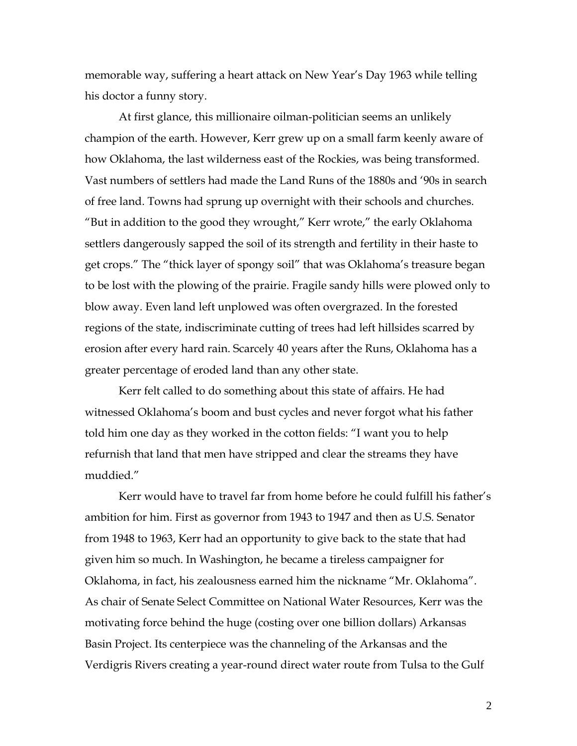memorable way, suffering a heart attack on New Year's Day 1963 while telling his doctor a funny story.

At first glance, this millionaire oilman-politician seems an unlikely champion of the earth. However, Kerr grew up on a small farm keenly aware of how Oklahoma, the last wilderness east of the Rockies, was being transformed. Vast numbers of settlers had made the Land Runs of the 1880s and '90s in search of free land. Towns had sprung up overnight with their schools and churches. "But in addition to the good they wrought," Kerr wrote," the early Oklahoma settlers dangerously sapped the soil of its strength and fertility in their haste to get crops." The "thick layer of spongy soil" that was Oklahoma's treasure began to be lost with the plowing of the prairie. Fragile sandy hills were plowed only to blow away. Even land left unplowed was often overgrazed. In the forested regions of the state, indiscriminate cutting of trees had left hillsides scarred by erosion after every hard rain. Scarcely 40 years after the Runs, Oklahoma has a greater percentage of eroded land than any other state.

Kerr felt called to do something about this state of affairs. He had witnessed Oklahoma's boom and bust cycles and never forgot what his father told him one day as they worked in the cotton fields: "I want you to help refurnish that land that men have stripped and clear the streams they have muddied."

Kerr would have to travel far from home before he could fulfill his father's ambition for him. First as governor from 1943 to 1947 and then as U.S. Senator from 1948 to 1963, Kerr had an opportunity to give back to the state that had given him so much. In Washington, he became a tireless campaigner for Oklahoma, in fact, his zealousness earned him the nickname "Mr. Oklahoma". As chair of Senate Select Committee on National Water Resources, Kerr was the motivating force behind the huge (costing over one billion dollars) Arkansas Basin Project. Its centerpiece was the channeling of the Arkansas and the Verdigris Rivers creating a year-round direct water route from Tulsa to the Gulf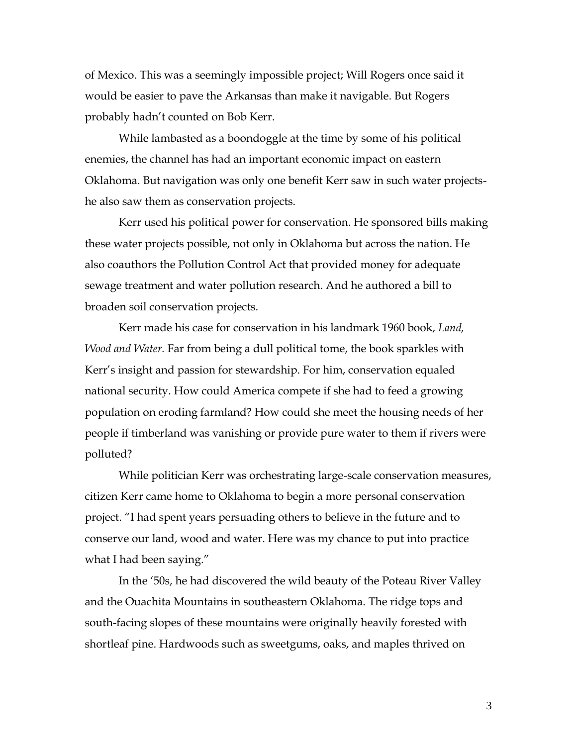of Mexico. This was a seemingly impossible project; Will Rogers once said it would be easier to pave the Arkansas than make it navigable. But Rogers probably hadn't counted on Bob Kerr.

While lambasted as a boondoggle at the time by some of his political enemies, the channel has had an important economic impact on eastern Oklahoma. But navigation was only one benefit Kerr saw in such water projectshe also saw them as conservation projects.

Kerr used his political power for conservation. He sponsored bills making these water projects possible, not only in Oklahoma but across the nation. He also coauthors the Pollution Control Act that provided money for adequate sewage treatment and water pollution research. And he authored a bill to broaden soil conservation projects.

Kerr made his case for conservation in his landmark 1960 book, *Land, Wood and Water.* Far from being a dull political tome, the book sparkles with Kerr's insight and passion for stewardship. For him, conservation equaled national security. How could America compete if she had to feed a growing population on eroding farmland? How could she meet the housing needs of her people if timberland was vanishing or provide pure water to them if rivers were polluted?

While politician Kerr was orchestrating large-scale conservation measures, citizen Kerr came home to Oklahoma to begin a more personal conservation project. "I had spent years persuading others to believe in the future and to conserve our land, wood and water. Here was my chance to put into practice what I had been saying."

In the '50s, he had discovered the wild beauty of the Poteau River Valley and the Ouachita Mountains in southeastern Oklahoma. The ridge tops and south-facing slopes of these mountains were originally heavily forested with shortleaf pine. Hardwoods such as sweetgums, oaks, and maples thrived on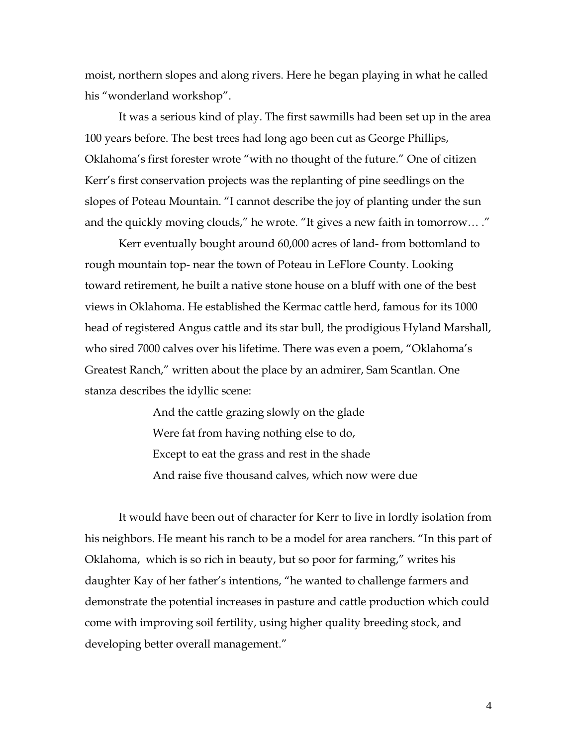moist, northern slopes and along rivers. Here he began playing in what he called his "wonderland workshop".

It was a serious kind of play. The first sawmills had been set up in the area 100 years before. The best trees had long ago been cut as George Phillips, Oklahoma's first forester wrote "with no thought of the future." One of citizen Kerr's first conservation projects was the replanting of pine seedlings on the slopes of Poteau Mountain. "I cannot describe the joy of planting under the sun and the quickly moving clouds," he wrote. "It gives a new faith in tomorrow… ."

Kerr eventually bought around 60,000 acres of land- from bottomland to rough mountain top- near the town of Poteau in LeFlore County. Looking toward retirement, he built a native stone house on a bluff with one of the best views in Oklahoma. He established the Kermac cattle herd, famous for its 1000 head of registered Angus cattle and its star bull, the prodigious Hyland Marshall, who sired 7000 calves over his lifetime. There was even a poem, "Oklahoma's Greatest Ranch," written about the place by an admirer, Sam Scantlan. One stanza describes the idyllic scene:

> And the cattle grazing slowly on the glade Were fat from having nothing else to do, Except to eat the grass and rest in the shade And raise five thousand calves, which now were due

It would have been out of character for Kerr to live in lordly isolation from his neighbors. He meant his ranch to be a model for area ranchers. "In this part of Oklahoma, which is so rich in beauty, but so poor for farming," writes his daughter Kay of her father's intentions, "he wanted to challenge farmers and demonstrate the potential increases in pasture and cattle production which could come with improving soil fertility, using higher quality breeding stock, and developing better overall management."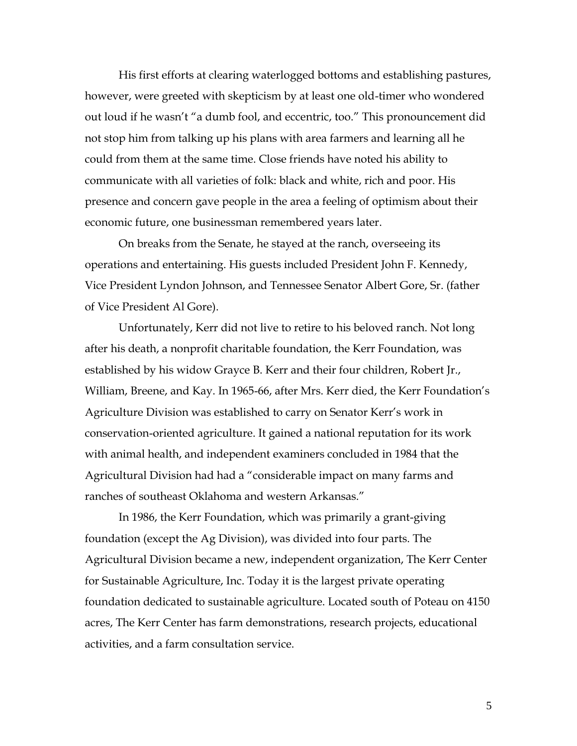His first efforts at clearing waterlogged bottoms and establishing pastures, however, were greeted with skepticism by at least one old-timer who wondered out loud if he wasn't "a dumb fool, and eccentric, too." This pronouncement did not stop him from talking up his plans with area farmers and learning all he could from them at the same time. Close friends have noted his ability to communicate with all varieties of folk: black and white, rich and poor. His presence and concern gave people in the area a feeling of optimism about their economic future, one businessman remembered years later.

On breaks from the Senate, he stayed at the ranch, overseeing its operations and entertaining. His guests included President John F. Kennedy, Vice President Lyndon Johnson, and Tennessee Senator Albert Gore, Sr. (father of Vice President Al Gore).

Unfortunately, Kerr did not live to retire to his beloved ranch. Not long after his death, a nonprofit charitable foundation, the Kerr Foundation, was established by his widow Grayce B. Kerr and their four children, Robert Jr., William, Breene, and Kay. In 1965-66, after Mrs. Kerr died, the Kerr Foundation's Agriculture Division was established to carry on Senator Kerr's work in conservation-oriented agriculture. It gained a national reputation for its work with animal health, and independent examiners concluded in 1984 that the Agricultural Division had had a "considerable impact on many farms and ranches of southeast Oklahoma and western Arkansas."

In 1986, the Kerr Foundation, which was primarily a grant-giving foundation (except the Ag Division), was divided into four parts. The Agricultural Division became a new, independent organization, The Kerr Center for Sustainable Agriculture, Inc. Today it is the largest private operating foundation dedicated to sustainable agriculture. Located south of Poteau on 4150 acres, The Kerr Center has farm demonstrations, research projects, educational activities, and a farm consultation service.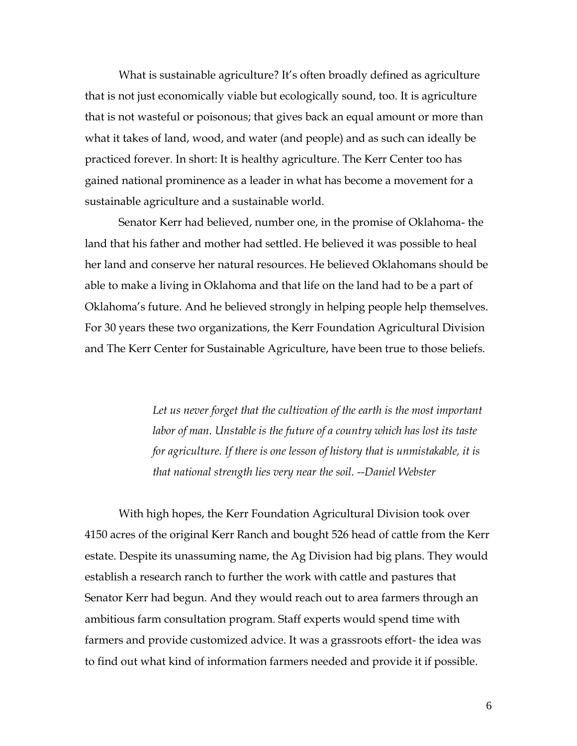What is sustainable agriculture? It's often broadly defined as agriculture that is not just economically viable but ecologically sound, too. It is agriculture that is not wasteful or poisonous; that gives back an equal amount or more than what it takes of land, wood, and water (and people) and as such can ideally be practiced forever. In short: It is healthy agriculture. The Kerr Center too has gained national prominence as a leader in what has become a movement for a sustainable agriculture and a sustainable world.

Senator Kerr had believed, number one, in the promise of Oklahoma- the land that his father and mother had settled. He believed it was possible to heal her land and conserve her natural resources. He believed Oklahomans should be able to make a living in Oklahoma and that life on the land had to be a part of Oklahoma's future. And he believed strongly in helping people help themselves. For 30 years these two organizations, the Kerr Foundation Agricultural Division and The Kerr Center for Sustainable Agriculture, have been true to those beliefs.

> Let us never forget that the cultivation of the earth is the most important *labor of man. Unstable is the future of a country which has lost its taste for agriculture. If there is one lesson of history that is unmistakable, it is that national strength lies very near the soil. --Daniel Webster*

With high hopes, the Kerr Foundation Agricultural Division took over 4150 acres of the original Kerr Ranch and bought 526 head of cattle from the Kerr estate. Despite its unassuming name, the Ag Division had big plans. They would establish a research ranch to further the work with cattle and pastures that Senator Kerr had begun. And they would reach out to area farmers through an ambitious farm consultation program. Staff experts would spend time with farmers and provide customized advice. It was a grassroots effort- the idea was to find out what kind of information farmers needed and provide it if possible.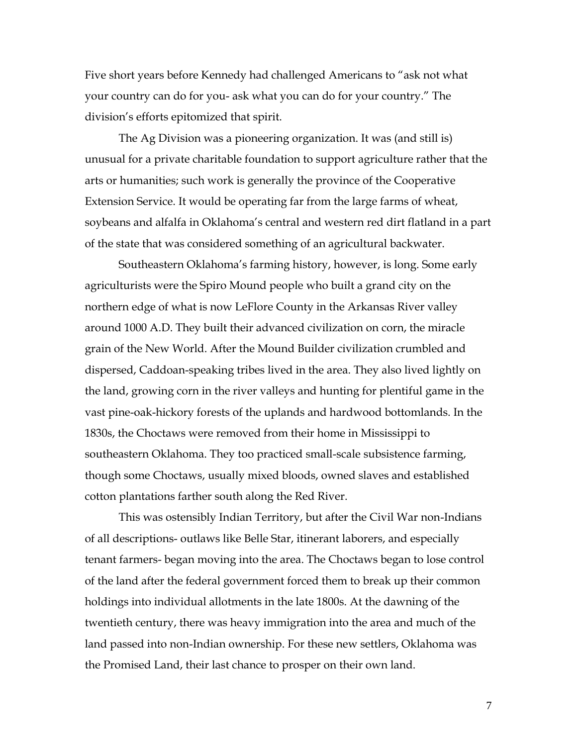Five short years before Kennedy had challenged Americans to "ask not what your country can do for you- ask what you can do for your country." The division's efforts epitomized that spirit.

The Ag Division was a pioneering organization. It was (and still is) unusual for a private charitable foundation to support agriculture rather that the arts or humanities; such work is generally the province of the Cooperative Extension Service. It would be operating far from the large farms of wheat, soybeans and alfalfa in Oklahoma's central and western red dirt flatland in a part of the state that was considered something of an agricultural backwater.

Southeastern Oklahoma's farming history, however, is long. Some early agriculturists were the Spiro Mound people who built a grand city on the northern edge of what is now LeFlore County in the Arkansas River valley around 1000 A.D. They built their advanced civilization on corn, the miracle grain of the New World. After the Mound Builder civilization crumbled and dispersed, Caddoan-speaking tribes lived in the area. They also lived lightly on the land, growing corn in the river valleys and hunting for plentiful game in the vast pine-oak-hickory forests of the uplands and hardwood bottomlands. In the 1830s, the Choctaws were removed from their home in Mississippi to southeastern Oklahoma. They too practiced small-scale subsistence farming, though some Choctaws, usually mixed bloods, owned slaves and established cotton plantations farther south along the Red River.

This was ostensibly Indian Territory, but after the Civil War non-Indians of all descriptions- outlaws like Belle Star, itinerant laborers, and especially tenant farmers- began moving into the area. The Choctaws began to lose control of the land after the federal government forced them to break up their common holdings into individual allotments in the late 1800s. At the dawning of the twentieth century, there was heavy immigration into the area and much of the land passed into non-Indian ownership. For these new settlers, Oklahoma was the Promised Land, their last chance to prosper on their own land.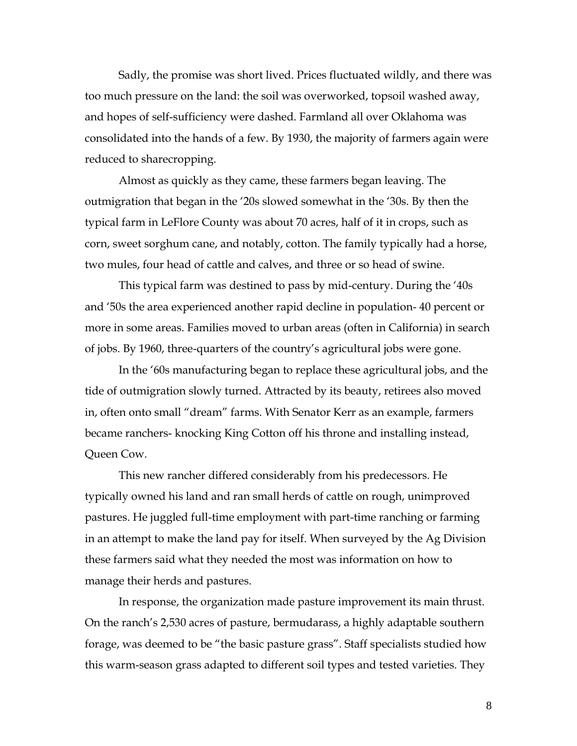Sadly, the promise was short lived. Prices fluctuated wildly, and there was too much pressure on the land: the soil was overworked, topsoil washed away, and hopes of self-sufficiency were dashed. Farmland all over Oklahoma was consolidated into the hands of a few. By 1930, the majority of farmers again were reduced to sharecropping.

Almost as quickly as they came, these farmers began leaving. The outmigration that began in the '20s slowed somewhat in the '30s. By then the typical farm in LeFlore County was about 70 acres, half of it in crops, such as corn, sweet sorghum cane, and notably, cotton. The family typically had a horse, two mules, four head of cattle and calves, and three or so head of swine.

This typical farm was destined to pass by mid-century. During the '40s and '50s the area experienced another rapid decline in population- 40 percent or more in some areas. Families moved to urban areas (often in California) in search of jobs. By 1960, three-quarters of the country's agricultural jobs were gone.

In the '60s manufacturing began to replace these agricultural jobs, and the tide of outmigration slowly turned. Attracted by its beauty, retirees also moved in, often onto small "dream" farms. With Senator Kerr as an example, farmers became ranchers- knocking King Cotton off his throne and installing instead, Queen Cow.

This new rancher differed considerably from his predecessors. He typically owned his land and ran small herds of cattle on rough, unimproved pastures. He juggled full-time employment with part-time ranching or farming in an attempt to make the land pay for itself. When surveyed by the Ag Division these farmers said what they needed the most was information on how to manage their herds and pastures.

In response, the organization made pasture improvement its main thrust. On the ranch's 2,530 acres of pasture, bermudarass, a highly adaptable southern forage, was deemed to be "the basic pasture grass". Staff specialists studied how this warm-season grass adapted to different soil types and tested varieties. They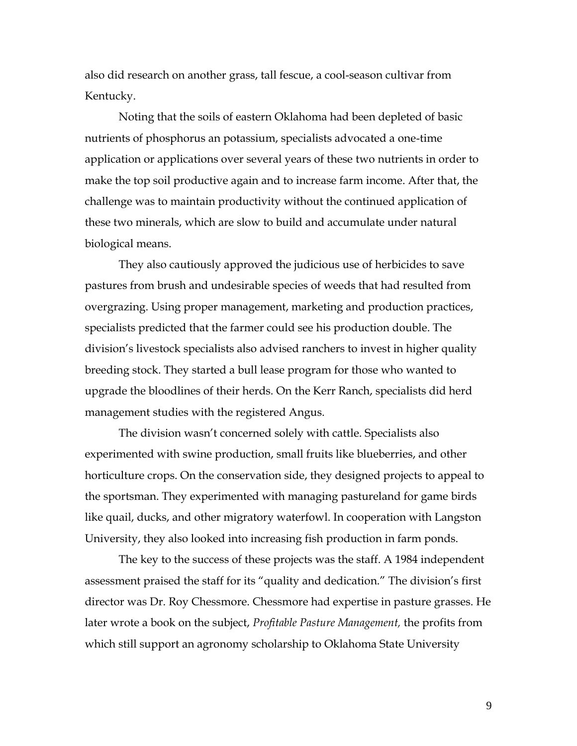also did research on another grass, tall fescue, a cool-season cultivar from Kentucky.

Noting that the soils of eastern Oklahoma had been depleted of basic nutrients of phosphorus an potassium, specialists advocated a one-time application or applications over several years of these two nutrients in order to make the top soil productive again and to increase farm income. After that, the challenge was to maintain productivity without the continued application of these two minerals, which are slow to build and accumulate under natural biological means.

They also cautiously approved the judicious use of herbicides to save pastures from brush and undesirable species of weeds that had resulted from overgrazing. Using proper management, marketing and production practices, specialists predicted that the farmer could see his production double. The division's livestock specialists also advised ranchers to invest in higher quality breeding stock. They started a bull lease program for those who wanted to upgrade the bloodlines of their herds. On the Kerr Ranch, specialists did herd management studies with the registered Angus.

The division wasn't concerned solely with cattle. Specialists also experimented with swine production, small fruits like blueberries, and other horticulture crops. On the conservation side, they designed projects to appeal to the sportsman. They experimented with managing pastureland for game birds like quail, ducks, and other migratory waterfowl. In cooperation with Langston University, they also looked into increasing fish production in farm ponds.

The key to the success of these projects was the staff. A 1984 independent assessment praised the staff for its "quality and dedication." The division's first director was Dr. Roy Chessmore. Chessmore had expertise in pasture grasses. He later wrote a book on the subject, *Profitable Pasture Management,* the profits from which still support an agronomy scholarship to Oklahoma State University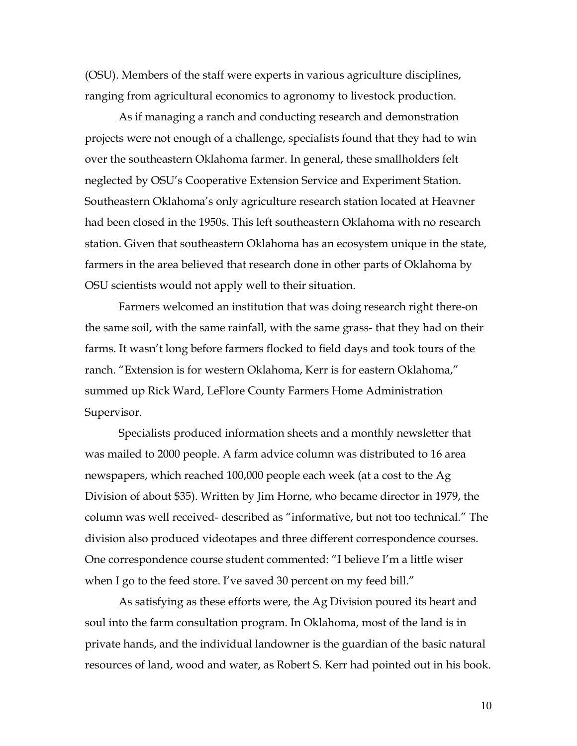(OSU). Members of the staff were experts in various agriculture disciplines, ranging from agricultural economics to agronomy to livestock production.

As if managing a ranch and conducting research and demonstration projects were not enough of a challenge, specialists found that they had to win over the southeastern Oklahoma farmer. In general, these smallholders felt neglected by OSU's Cooperative Extension Service and Experiment Station. Southeastern Oklahoma's only agriculture research station located at Heavner had been closed in the 1950s. This left southeastern Oklahoma with no research station. Given that southeastern Oklahoma has an ecosystem unique in the state, farmers in the area believed that research done in other parts of Oklahoma by OSU scientists would not apply well to their situation.

Farmers welcomed an institution that was doing research right there-on the same soil, with the same rainfall, with the same grass- that they had on their farms. It wasn't long before farmers flocked to field days and took tours of the ranch. "Extension is for western Oklahoma, Kerr is for eastern Oklahoma," summed up Rick Ward, LeFlore County Farmers Home Administration Supervisor.

Specialists produced information sheets and a monthly newsletter that was mailed to 2000 people. A farm advice column was distributed to 16 area newspapers, which reached 100,000 people each week (at a cost to the Ag Division of about \$35). Written by Jim Horne, who became director in 1979, the column was well received- described as "informative, but not too technical." The division also produced videotapes and three different correspondence courses. One correspondence course student commented: "I believe I'm a little wiser when I go to the feed store. I've saved 30 percent on my feed bill."

As satisfying as these efforts were, the Ag Division poured its heart and soul into the farm consultation program. In Oklahoma, most of the land is in private hands, and the individual landowner is the guardian of the basic natural resources of land, wood and water, as Robert S. Kerr had pointed out in his book.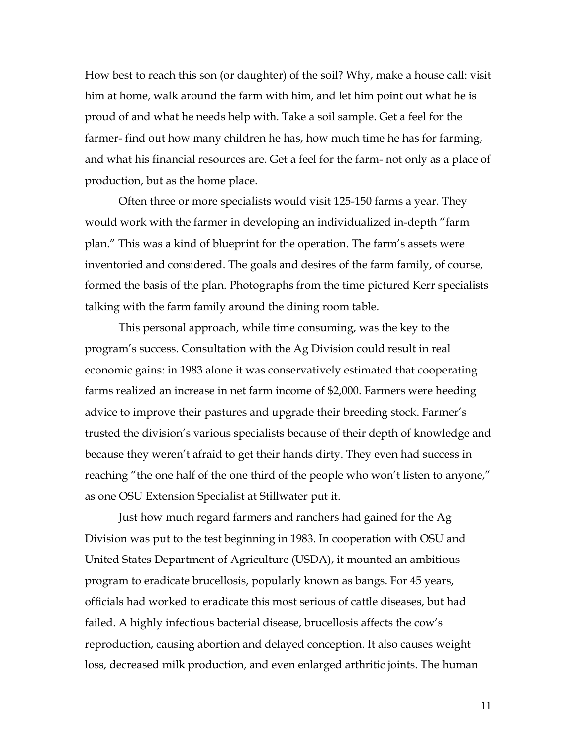How best to reach this son (or daughter) of the soil? Why, make a house call: visit him at home, walk around the farm with him, and let him point out what he is proud of and what he needs help with. Take a soil sample. Get a feel for the farmer- find out how many children he has, how much time he has for farming, and what his financial resources are. Get a feel for the farm- not only as a place of production, but as the home place.

Often three or more specialists would visit 125-150 farms a year. They would work with the farmer in developing an individualized in-depth "farm plan." This was a kind of blueprint for the operation. The farm's assets were inventoried and considered. The goals and desires of the farm family, of course, formed the basis of the plan. Photographs from the time pictured Kerr specialists talking with the farm family around the dining room table.

This personal approach, while time consuming, was the key to the program's success. Consultation with the Ag Division could result in real economic gains: in 1983 alone it was conservatively estimated that cooperating farms realized an increase in net farm income of \$2,000. Farmers were heeding advice to improve their pastures and upgrade their breeding stock. Farmer's trusted the division's various specialists because of their depth of knowledge and because they weren't afraid to get their hands dirty. They even had success in reaching "the one half of the one third of the people who won't listen to anyone," as one OSU Extension Specialist at Stillwater put it.

Just how much regard farmers and ranchers had gained for the Ag Division was put to the test beginning in 1983. In cooperation with OSU and United States Department of Agriculture (USDA), it mounted an ambitious program to eradicate brucellosis, popularly known as bangs. For 45 years, officials had worked to eradicate this most serious of cattle diseases, but had failed. A highly infectious bacterial disease, brucellosis affects the cow's reproduction, causing abortion and delayed conception. It also causes weight loss, decreased milk production, and even enlarged arthritic joints. The human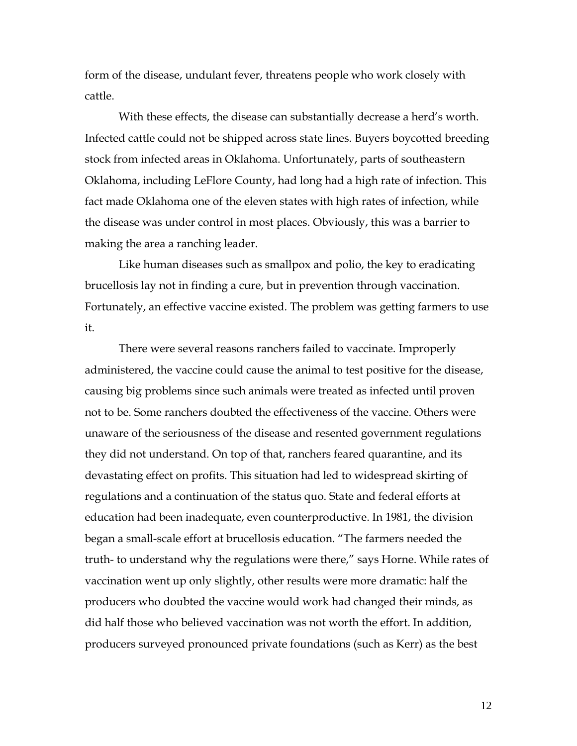form of the disease, undulant fever, threatens people who work closely with cattle.

With these effects, the disease can substantially decrease a herd's worth. Infected cattle could not be shipped across state lines. Buyers boycotted breeding stock from infected areas in Oklahoma. Unfortunately, parts of southeastern Oklahoma, including LeFlore County, had long had a high rate of infection. This fact made Oklahoma one of the eleven states with high rates of infection, while the disease was under control in most places. Obviously, this was a barrier to making the area a ranching leader.

Like human diseases such as smallpox and polio, the key to eradicating brucellosis lay not in finding a cure, but in prevention through vaccination. Fortunately, an effective vaccine existed. The problem was getting farmers to use it.

There were several reasons ranchers failed to vaccinate. Improperly administered, the vaccine could cause the animal to test positive for the disease, causing big problems since such animals were treated as infected until proven not to be. Some ranchers doubted the effectiveness of the vaccine. Others were unaware of the seriousness of the disease and resented government regulations they did not understand. On top of that, ranchers feared quarantine, and its devastating effect on profits. This situation had led to widespread skirting of regulations and a continuation of the status quo. State and federal efforts at education had been inadequate, even counterproductive. In 1981, the division began a small-scale effort at brucellosis education. "The farmers needed the truth- to understand why the regulations were there," says Horne. While rates of vaccination went up only slightly, other results were more dramatic: half the producers who doubted the vaccine would work had changed their minds, as did half those who believed vaccination was not worth the effort. In addition, producers surveyed pronounced private foundations (such as Kerr) as the best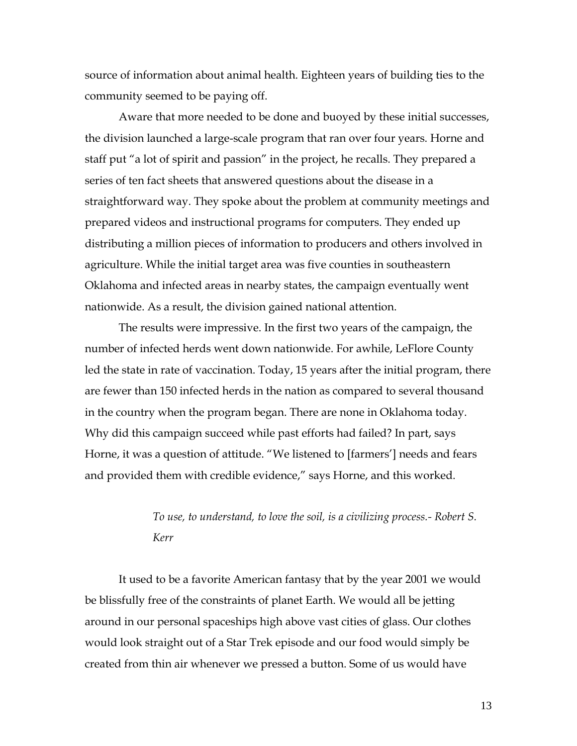source of information about animal health. Eighteen years of building ties to the community seemed to be paying off.

Aware that more needed to be done and buoyed by these initial successes, the division launched a large-scale program that ran over four years. Horne and staff put "a lot of spirit and passion" in the project, he recalls. They prepared a series of ten fact sheets that answered questions about the disease in a straightforward way. They spoke about the problem at community meetings and prepared videos and instructional programs for computers. They ended up distributing a million pieces of information to producers and others involved in agriculture. While the initial target area was five counties in southeastern Oklahoma and infected areas in nearby states, the campaign eventually went nationwide. As a result, the division gained national attention.

The results were impressive. In the first two years of the campaign, the number of infected herds went down nationwide. For awhile, LeFlore County led the state in rate of vaccination. Today, 15 years after the initial program, there are fewer than 150 infected herds in the nation as compared to several thousand in the country when the program began. There are none in Oklahoma today. Why did this campaign succeed while past efforts had failed? In part, says Horne, it was a question of attitude. "We listened to [farmers'] needs and fears and provided them with credible evidence," says Horne, and this worked.

## *To use, to understand, to love the soil, is a civilizing process.- Robert S. Kerr*

It used to be a favorite American fantasy that by the year 2001 we would be blissfully free of the constraints of planet Earth. We would all be jetting around in our personal spaceships high above vast cities of glass. Our clothes would look straight out of a Star Trek episode and our food would simply be created from thin air whenever we pressed a button. Some of us would have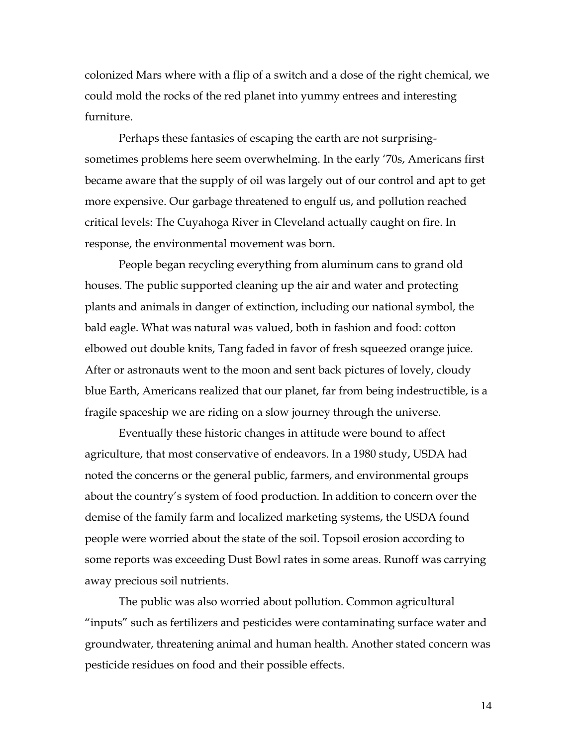colonized Mars where with a flip of a switch and a dose of the right chemical, we could mold the rocks of the red planet into yummy entrees and interesting furniture.

Perhaps these fantasies of escaping the earth are not surprisingsometimes problems here seem overwhelming. In the early '70s, Americans first became aware that the supply of oil was largely out of our control and apt to get more expensive. Our garbage threatened to engulf us, and pollution reached critical levels: The Cuyahoga River in Cleveland actually caught on fire. In response, the environmental movement was born.

People began recycling everything from aluminum cans to grand old houses. The public supported cleaning up the air and water and protecting plants and animals in danger of extinction, including our national symbol, the bald eagle. What was natural was valued, both in fashion and food: cotton elbowed out double knits, Tang faded in favor of fresh squeezed orange juice. After or astronauts went to the moon and sent back pictures of lovely, cloudy blue Earth, Americans realized that our planet, far from being indestructible, is a fragile spaceship we are riding on a slow journey through the universe.

Eventually these historic changes in attitude were bound to affect agriculture, that most conservative of endeavors. In a 1980 study, USDA had noted the concerns or the general public, farmers, and environmental groups about the country's system of food production. In addition to concern over the demise of the family farm and localized marketing systems, the USDA found people were worried about the state of the soil. Topsoil erosion according to some reports was exceeding Dust Bowl rates in some areas. Runoff was carrying away precious soil nutrients.

The public was also worried about pollution. Common agricultural "inputs" such as fertilizers and pesticides were contaminating surface water and groundwater, threatening animal and human health. Another stated concern was pesticide residues on food and their possible effects.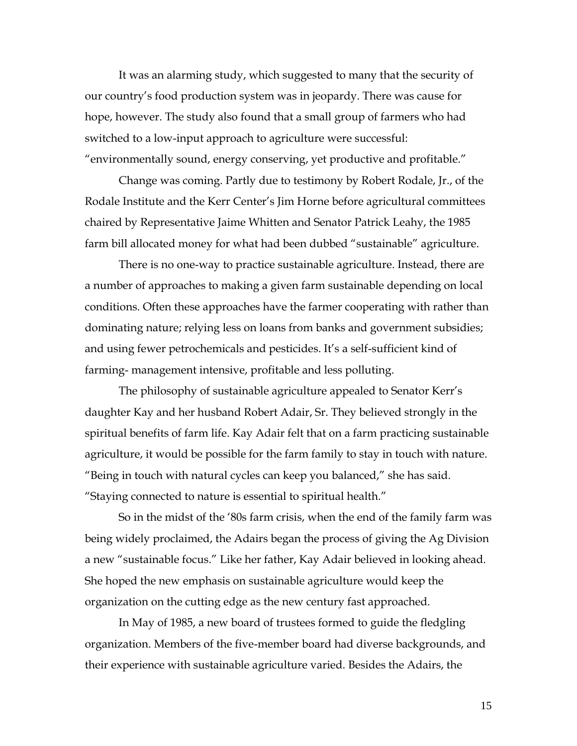It was an alarming study, which suggested to many that the security of our country's food production system was in jeopardy. There was cause for hope, however. The study also found that a small group of farmers who had switched to a low-input approach to agriculture were successful: "environmentally sound, energy conserving, yet productive and profitable."

Change was coming. Partly due to testimony by Robert Rodale, Jr., of the Rodale Institute and the Kerr Center's Jim Horne before agricultural committees chaired by Representative Jaime Whitten and Senator Patrick Leahy, the 1985 farm bill allocated money for what had been dubbed "sustainable" agriculture.

There is no one-way to practice sustainable agriculture. Instead, there are a number of approaches to making a given farm sustainable depending on local conditions. Often these approaches have the farmer cooperating with rather than dominating nature; relying less on loans from banks and government subsidies; and using fewer petrochemicals and pesticides. It's a self-sufficient kind of farming- management intensive, profitable and less polluting.

The philosophy of sustainable agriculture appealed to Senator Kerr's daughter Kay and her husband Robert Adair, Sr. They believed strongly in the spiritual benefits of farm life. Kay Adair felt that on a farm practicing sustainable agriculture, it would be possible for the farm family to stay in touch with nature. "Being in touch with natural cycles can keep you balanced," she has said. "Staying connected to nature is essential to spiritual health."

So in the midst of the '80s farm crisis, when the end of the family farm was being widely proclaimed, the Adairs began the process of giving the Ag Division a new "sustainable focus." Like her father, Kay Adair believed in looking ahead. She hoped the new emphasis on sustainable agriculture would keep the organization on the cutting edge as the new century fast approached.

In May of 1985, a new board of trustees formed to guide the fledgling organization. Members of the five-member board had diverse backgrounds, and their experience with sustainable agriculture varied. Besides the Adairs, the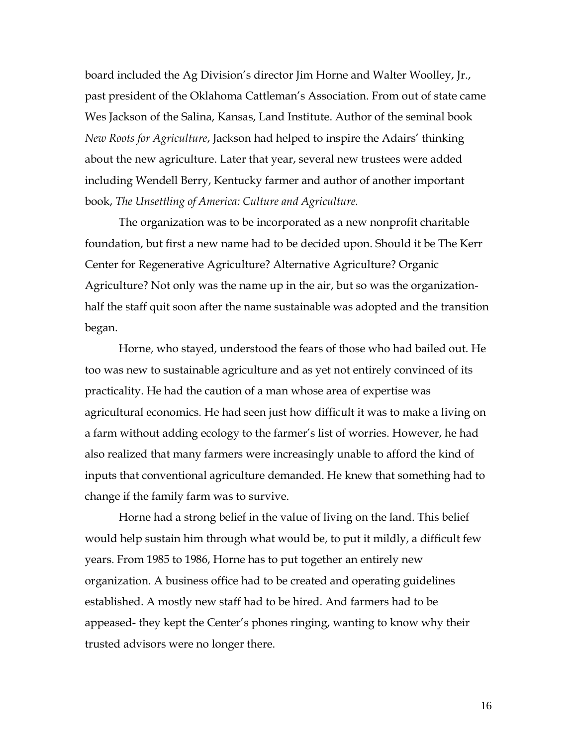board included the Ag Division's director Jim Horne and Walter Woolley, Jr., past president of the Oklahoma Cattleman's Association. From out of state came Wes Jackson of the Salina, Kansas, Land Institute. Author of the seminal book *New Roots for Agriculture*, Jackson had helped to inspire the Adairs' thinking about the new agriculture. Later that year, several new trustees were added including Wendell Berry, Kentucky farmer and author of another important book, *The Unsettling of America: Culture and Agriculture.*

The organization was to be incorporated as a new nonprofit charitable foundation, but first a new name had to be decided upon. Should it be The Kerr Center for Regenerative Agriculture? Alternative Agriculture? Organic Agriculture? Not only was the name up in the air, but so was the organizationhalf the staff quit soon after the name sustainable was adopted and the transition began.

Horne, who stayed, understood the fears of those who had bailed out. He too was new to sustainable agriculture and as yet not entirely convinced of its practicality. He had the caution of a man whose area of expertise was agricultural economics. He had seen just how difficult it was to make a living on a farm without adding ecology to the farmer's list of worries. However, he had also realized that many farmers were increasingly unable to afford the kind of inputs that conventional agriculture demanded. He knew that something had to change if the family farm was to survive.

Horne had a strong belief in the value of living on the land. This belief would help sustain him through what would be, to put it mildly, a difficult few years. From 1985 to 1986, Horne has to put together an entirely new organization. A business office had to be created and operating guidelines established. A mostly new staff had to be hired. And farmers had to be appeased- they kept the Center's phones ringing, wanting to know why their trusted advisors were no longer there.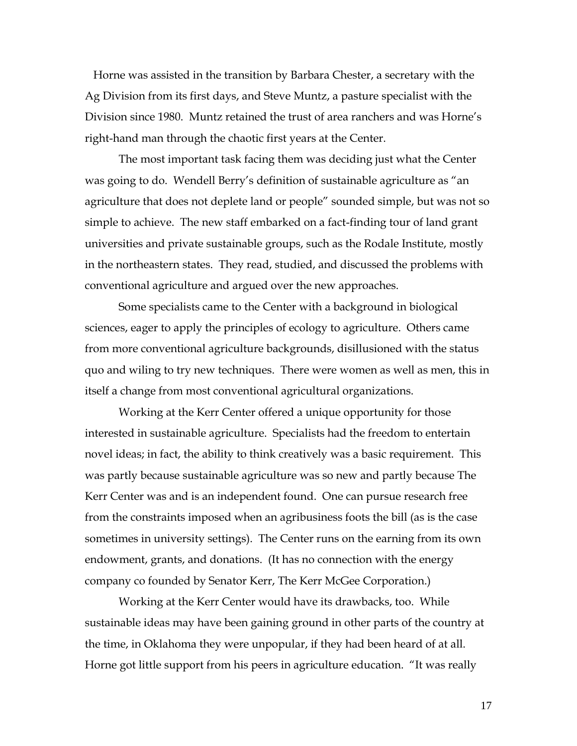Horne was assisted in the transition by Barbara Chester, a secretary with the Ag Division from its first days, and Steve Muntz, a pasture specialist with the Division since 1980. Muntz retained the trust of area ranchers and was Horne's right-hand man through the chaotic first years at the Center.

The most important task facing them was deciding just what the Center was going to do. Wendell Berry's definition of sustainable agriculture as "an agriculture that does not deplete land or people" sounded simple, but was not so simple to achieve. The new staff embarked on a fact-finding tour of land grant universities and private sustainable groups, such as the Rodale Institute, mostly in the northeastern states. They read, studied, and discussed the problems with conventional agriculture and argued over the new approaches.

Some specialists came to the Center with a background in biological sciences, eager to apply the principles of ecology to agriculture. Others came from more conventional agriculture backgrounds, disillusioned with the status quo and wiling to try new techniques. There were women as well as men, this in itself a change from most conventional agricultural organizations.

Working at the Kerr Center offered a unique opportunity for those interested in sustainable agriculture. Specialists had the freedom to entertain novel ideas; in fact, the ability to think creatively was a basic requirement. This was partly because sustainable agriculture was so new and partly because The Kerr Center was and is an independent found. One can pursue research free from the constraints imposed when an agribusiness foots the bill (as is the case sometimes in university settings). The Center runs on the earning from its own endowment, grants, and donations. (It has no connection with the energy company co founded by Senator Kerr, The Kerr McGee Corporation.)

Working at the Kerr Center would have its drawbacks, too. While sustainable ideas may have been gaining ground in other parts of the country at the time, in Oklahoma they were unpopular, if they had been heard of at all. Horne got little support from his peers in agriculture education. "It was really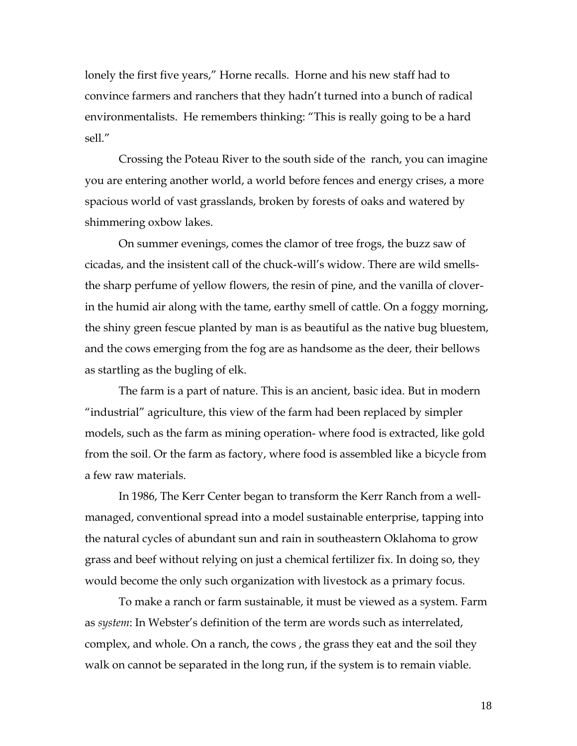lonely the first five years," Horne recalls. Horne and his new staff had to convince farmers and ranchers that they hadn't turned into a bunch of radical environmentalists. He remembers thinking: "This is really going to be a hard sell."

Crossing the Poteau River to the south side of the ranch, you can imagine you are entering another world, a world before fences and energy crises, a more spacious world of vast grasslands, broken by forests of oaks and watered by shimmering oxbow lakes.

On summer evenings, comes the clamor of tree frogs, the buzz saw of cicadas, and the insistent call of the chuck-will's widow. There are wild smellsthe sharp perfume of yellow flowers, the resin of pine, and the vanilla of cloverin the humid air along with the tame, earthy smell of cattle. On a foggy morning, the shiny green fescue planted by man is as beautiful as the native bug bluestem, and the cows emerging from the fog are as handsome as the deer, their bellows as startling as the bugling of elk.

The farm is a part of nature. This is an ancient, basic idea. But in modern "industrial" agriculture, this view of the farm had been replaced by simpler models, such as the farm as mining operation- where food is extracted, like gold from the soil. Or the farm as factory, where food is assembled like a bicycle from a few raw materials.

In 1986, The Kerr Center began to transform the Kerr Ranch from a wellmanaged, conventional spread into a model sustainable enterprise, tapping into the natural cycles of abundant sun and rain in southeastern Oklahoma to grow grass and beef without relying on just a chemical fertilizer fix. In doing so, they would become the only such organization with livestock as a primary focus.

To make a ranch or farm sustainable, it must be viewed as a system. Farm as *system*: In Webster's definition of the term are words such as interrelated, complex, and whole. On a ranch, the cows , the grass they eat and the soil they walk on cannot be separated in the long run, if the system is to remain viable.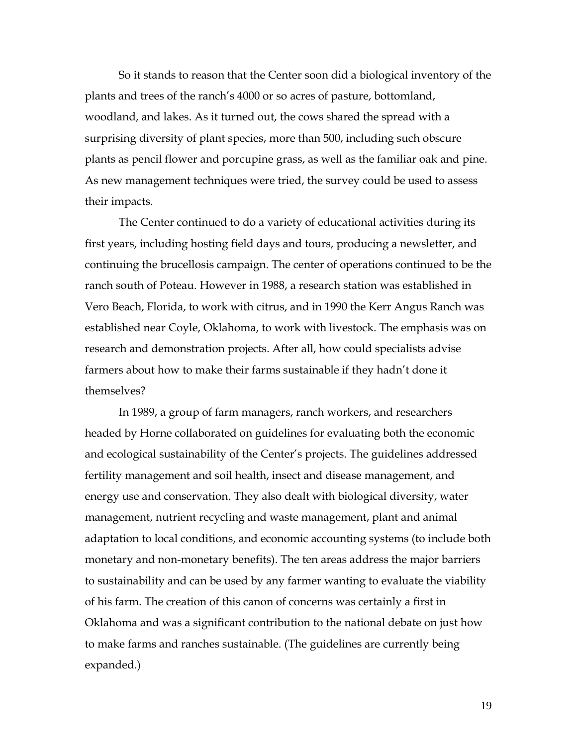So it stands to reason that the Center soon did a biological inventory of the plants and trees of the ranch's 4000 or so acres of pasture, bottomland, woodland, and lakes. As it turned out, the cows shared the spread with a surprising diversity of plant species, more than 500, including such obscure plants as pencil flower and porcupine grass, as well as the familiar oak and pine. As new management techniques were tried, the survey could be used to assess their impacts.

The Center continued to do a variety of educational activities during its first years, including hosting field days and tours, producing a newsletter, and continuing the brucellosis campaign. The center of operations continued to be the ranch south of Poteau. However in 1988, a research station was established in Vero Beach, Florida, to work with citrus, and in 1990 the Kerr Angus Ranch was established near Coyle, Oklahoma, to work with livestock. The emphasis was on research and demonstration projects. After all, how could specialists advise farmers about how to make their farms sustainable if they hadn't done it themselves?

In 1989, a group of farm managers, ranch workers, and researchers headed by Horne collaborated on guidelines for evaluating both the economic and ecological sustainability of the Center's projects. The guidelines addressed fertility management and soil health, insect and disease management, and energy use and conservation. They also dealt with biological diversity, water management, nutrient recycling and waste management, plant and animal adaptation to local conditions, and economic accounting systems (to include both monetary and non-monetary benefits). The ten areas address the major barriers to sustainability and can be used by any farmer wanting to evaluate the viability of his farm. The creation of this canon of concerns was certainly a first in Oklahoma and was a significant contribution to the national debate on just how to make farms and ranches sustainable. (The guidelines are currently being expanded.)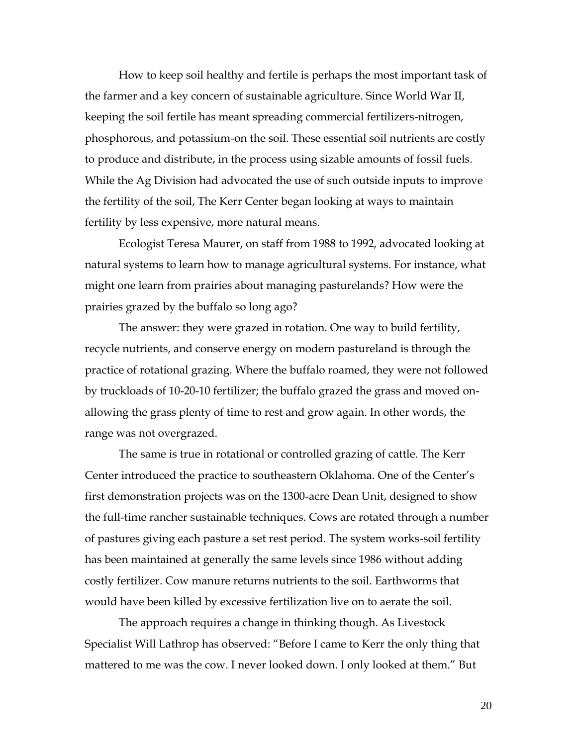How to keep soil healthy and fertile is perhaps the most important task of the farmer and a key concern of sustainable agriculture. Since World War II, keeping the soil fertile has meant spreading commercial fertilizers-nitrogen, phosphorous, and potassium-on the soil. These essential soil nutrients are costly to produce and distribute, in the process using sizable amounts of fossil fuels. While the Ag Division had advocated the use of such outside inputs to improve the fertility of the soil, The Kerr Center began looking at ways to maintain fertility by less expensive, more natural means.

Ecologist Teresa Maurer, on staff from 1988 to 1992, advocated looking at natural systems to learn how to manage agricultural systems. For instance, what might one learn from prairies about managing pasturelands? How were the prairies grazed by the buffalo so long ago?

The answer: they were grazed in rotation. One way to build fertility, recycle nutrients, and conserve energy on modern pastureland is through the practice of rotational grazing. Where the buffalo roamed, they were not followed by truckloads of 10-20-10 fertilizer; the buffalo grazed the grass and moved onallowing the grass plenty of time to rest and grow again. In other words, the range was not overgrazed.

The same is true in rotational or controlled grazing of cattle. The Kerr Center introduced the practice to southeastern Oklahoma. One of the Center's first demonstration projects was on the 1300-acre Dean Unit, designed to show the full-time rancher sustainable techniques. Cows are rotated through a number of pastures giving each pasture a set rest period. The system works-soil fertility has been maintained at generally the same levels since 1986 without adding costly fertilizer. Cow manure returns nutrients to the soil. Earthworms that would have been killed by excessive fertilization live on to aerate the soil.

The approach requires a change in thinking though. As Livestock Specialist Will Lathrop has observed: "Before I came to Kerr the only thing that mattered to me was the cow. I never looked down. I only looked at them." But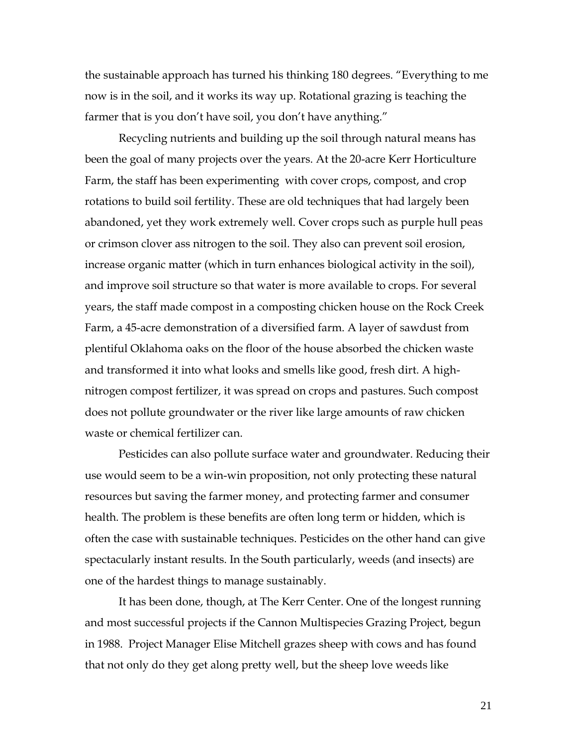the sustainable approach has turned his thinking 180 degrees. "Everything to me now is in the soil, and it works its way up. Rotational grazing is teaching the farmer that is you don't have soil, you don't have anything."

Recycling nutrients and building up the soil through natural means has been the goal of many projects over the years. At the 20-acre Kerr Horticulture Farm, the staff has been experimenting with cover crops, compost, and crop rotations to build soil fertility. These are old techniques that had largely been abandoned, yet they work extremely well. Cover crops such as purple hull peas or crimson clover ass nitrogen to the soil. They also can prevent soil erosion, increase organic matter (which in turn enhances biological activity in the soil), and improve soil structure so that water is more available to crops. For several years, the staff made compost in a composting chicken house on the Rock Creek Farm, a 45-acre demonstration of a diversified farm. A layer of sawdust from plentiful Oklahoma oaks on the floor of the house absorbed the chicken waste and transformed it into what looks and smells like good, fresh dirt. A highnitrogen compost fertilizer, it was spread on crops and pastures. Such compost does not pollute groundwater or the river like large amounts of raw chicken waste or chemical fertilizer can.

Pesticides can also pollute surface water and groundwater. Reducing their use would seem to be a win-win proposition, not only protecting these natural resources but saving the farmer money, and protecting farmer and consumer health. The problem is these benefits are often long term or hidden, which is often the case with sustainable techniques. Pesticides on the other hand can give spectacularly instant results. In the South particularly, weeds (and insects) are one of the hardest things to manage sustainably.

It has been done, though, at The Kerr Center. One of the longest running and most successful projects if the Cannon Multispecies Grazing Project, begun in 1988. Project Manager Elise Mitchell grazes sheep with cows and has found that not only do they get along pretty well, but the sheep love weeds like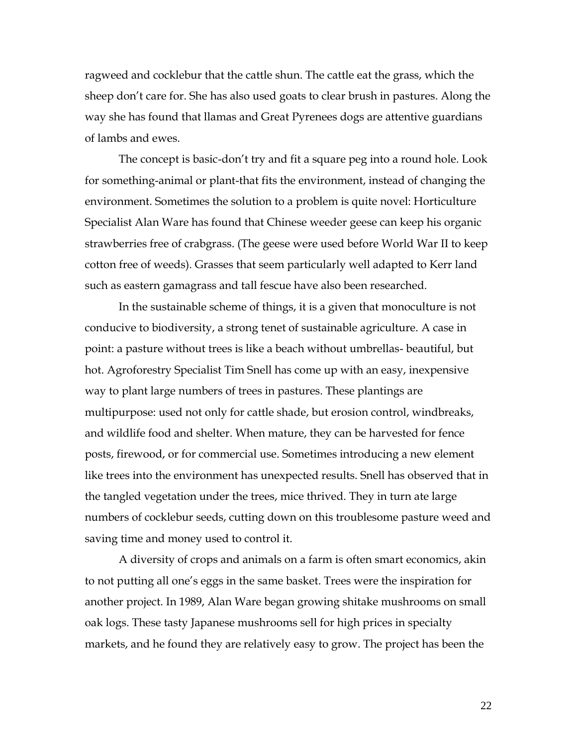ragweed and cocklebur that the cattle shun. The cattle eat the grass, which the sheep don't care for. She has also used goats to clear brush in pastures. Along the way she has found that llamas and Great Pyrenees dogs are attentive guardians of lambs and ewes.

The concept is basic-don't try and fit a square peg into a round hole. Look for something-animal or plant-that fits the environment, instead of changing the environment. Sometimes the solution to a problem is quite novel: Horticulture Specialist Alan Ware has found that Chinese weeder geese can keep his organic strawberries free of crabgrass. (The geese were used before World War II to keep cotton free of weeds). Grasses that seem particularly well adapted to Kerr land such as eastern gamagrass and tall fescue have also been researched.

In the sustainable scheme of things, it is a given that monoculture is not conducive to biodiversity, a strong tenet of sustainable agriculture. A case in point: a pasture without trees is like a beach without umbrellas- beautiful, but hot. Agroforestry Specialist Tim Snell has come up with an easy, inexpensive way to plant large numbers of trees in pastures. These plantings are multipurpose: used not only for cattle shade, but erosion control, windbreaks, and wildlife food and shelter. When mature, they can be harvested for fence posts, firewood, or for commercial use. Sometimes introducing a new element like trees into the environment has unexpected results. Snell has observed that in the tangled vegetation under the trees, mice thrived. They in turn ate large numbers of cocklebur seeds, cutting down on this troublesome pasture weed and saving time and money used to control it.

A diversity of crops and animals on a farm is often smart economics, akin to not putting all one's eggs in the same basket. Trees were the inspiration for another project. In 1989, Alan Ware began growing shitake mushrooms on small oak logs. These tasty Japanese mushrooms sell for high prices in specialty markets, and he found they are relatively easy to grow. The project has been the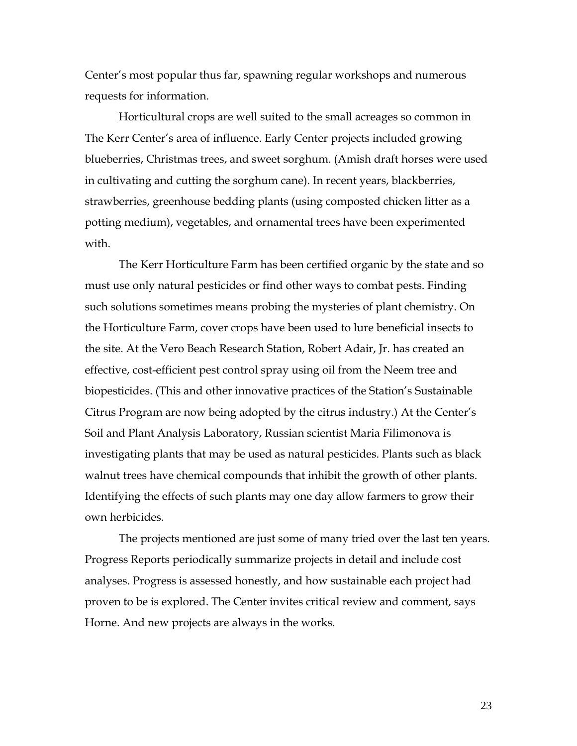Center's most popular thus far, spawning regular workshops and numerous requests for information.

Horticultural crops are well suited to the small acreages so common in The Kerr Center's area of influence. Early Center projects included growing blueberries, Christmas trees, and sweet sorghum. (Amish draft horses were used in cultivating and cutting the sorghum cane). In recent years, blackberries, strawberries, greenhouse bedding plants (using composted chicken litter as a potting medium), vegetables, and ornamental trees have been experimented with.

The Kerr Horticulture Farm has been certified organic by the state and so must use only natural pesticides or find other ways to combat pests. Finding such solutions sometimes means probing the mysteries of plant chemistry. On the Horticulture Farm, cover crops have been used to lure beneficial insects to the site. At the Vero Beach Research Station, Robert Adair, Jr. has created an effective, cost-efficient pest control spray using oil from the Neem tree and biopesticides. (This and other innovative practices of the Station's Sustainable Citrus Program are now being adopted by the citrus industry.) At the Center's Soil and Plant Analysis Laboratory, Russian scientist Maria Filimonova is investigating plants that may be used as natural pesticides. Plants such as black walnut trees have chemical compounds that inhibit the growth of other plants. Identifying the effects of such plants may one day allow farmers to grow their own herbicides.

The projects mentioned are just some of many tried over the last ten years. Progress Reports periodically summarize projects in detail and include cost analyses. Progress is assessed honestly, and how sustainable each project had proven to be is explored. The Center invites critical review and comment, says Horne. And new projects are always in the works.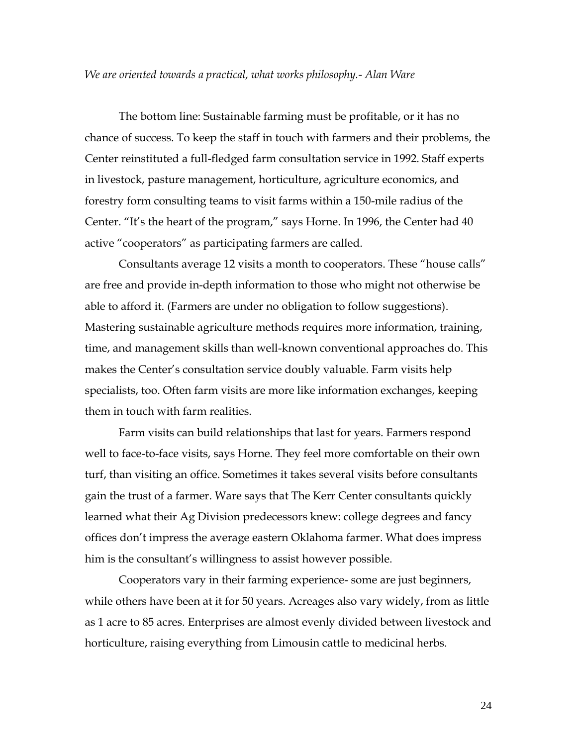## *We are oriented towards a practical, what works philosophy.- Alan Ware*

The bottom line: Sustainable farming must be profitable, or it has no chance of success. To keep the staff in touch with farmers and their problems, the Center reinstituted a full-fledged farm consultation service in 1992. Staff experts in livestock, pasture management, horticulture, agriculture economics, and forestry form consulting teams to visit farms within a 150-mile radius of the Center. "It's the heart of the program," says Horne. In 1996, the Center had 40 active "cooperators" as participating farmers are called.

Consultants average 12 visits a month to cooperators. These "house calls" are free and provide in-depth information to those who might not otherwise be able to afford it. (Farmers are under no obligation to follow suggestions). Mastering sustainable agriculture methods requires more information, training, time, and management skills than well-known conventional approaches do. This makes the Center's consultation service doubly valuable. Farm visits help specialists, too. Often farm visits are more like information exchanges, keeping them in touch with farm realities.

Farm visits can build relationships that last for years. Farmers respond well to face-to-face visits, says Horne. They feel more comfortable on their own turf, than visiting an office. Sometimes it takes several visits before consultants gain the trust of a farmer. Ware says that The Kerr Center consultants quickly learned what their Ag Division predecessors knew: college degrees and fancy offices don't impress the average eastern Oklahoma farmer. What does impress him is the consultant's willingness to assist however possible.

Cooperators vary in their farming experience- some are just beginners, while others have been at it for 50 years. Acreages also vary widely, from as little as 1 acre to 85 acres. Enterprises are almost evenly divided between livestock and horticulture, raising everything from Limousin cattle to medicinal herbs.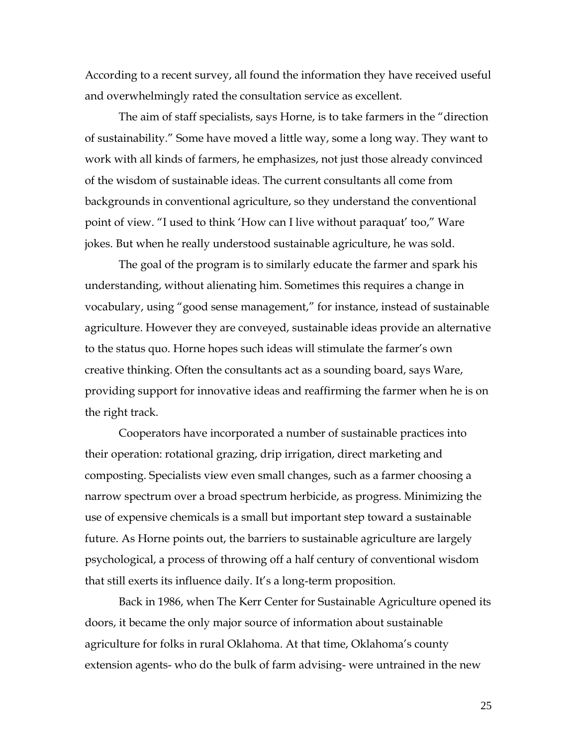According to a recent survey, all found the information they have received useful and overwhelmingly rated the consultation service as excellent.

The aim of staff specialists, says Horne, is to take farmers in the "direction of sustainability." Some have moved a little way, some a long way. They want to work with all kinds of farmers, he emphasizes, not just those already convinced of the wisdom of sustainable ideas. The current consultants all come from backgrounds in conventional agriculture, so they understand the conventional point of view. "I used to think 'How can I live without paraquat' too," Ware jokes. But when he really understood sustainable agriculture, he was sold.

The goal of the program is to similarly educate the farmer and spark his understanding, without alienating him. Sometimes this requires a change in vocabulary, using "good sense management," for instance, instead of sustainable agriculture. However they are conveyed, sustainable ideas provide an alternative to the status quo. Horne hopes such ideas will stimulate the farmer's own creative thinking. Often the consultants act as a sounding board, says Ware, providing support for innovative ideas and reaffirming the farmer when he is on the right track.

Cooperators have incorporated a number of sustainable practices into their operation: rotational grazing, drip irrigation, direct marketing and composting. Specialists view even small changes, such as a farmer choosing a narrow spectrum over a broad spectrum herbicide, as progress. Minimizing the use of expensive chemicals is a small but important step toward a sustainable future. As Horne points out, the barriers to sustainable agriculture are largely psychological, a process of throwing off a half century of conventional wisdom that still exerts its influence daily. It's a long-term proposition.

Back in 1986, when The Kerr Center for Sustainable Agriculture opened its doors, it became the only major source of information about sustainable agriculture for folks in rural Oklahoma. At that time, Oklahoma's county extension agents- who do the bulk of farm advising- were untrained in the new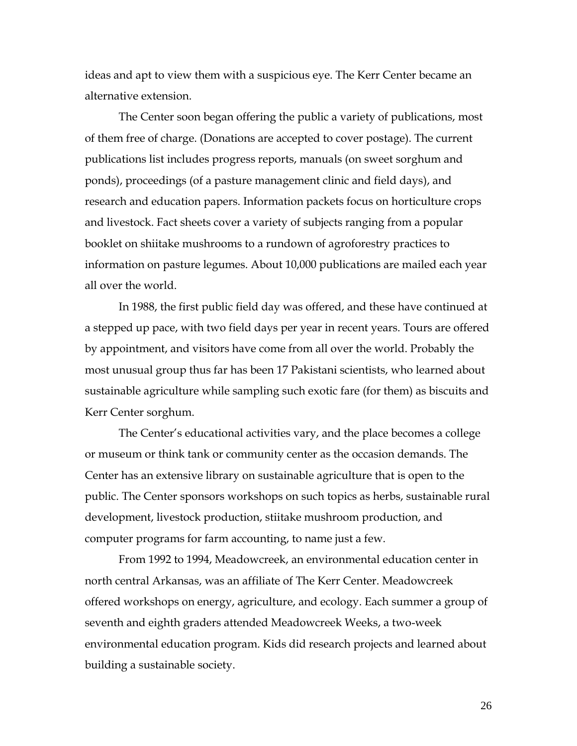ideas and apt to view them with a suspicious eye. The Kerr Center became an alternative extension.

The Center soon began offering the public a variety of publications, most of them free of charge. (Donations are accepted to cover postage). The current publications list includes progress reports, manuals (on sweet sorghum and ponds), proceedings (of a pasture management clinic and field days), and research and education papers. Information packets focus on horticulture crops and livestock. Fact sheets cover a variety of subjects ranging from a popular booklet on shiitake mushrooms to a rundown of agroforestry practices to information on pasture legumes. About 10,000 publications are mailed each year all over the world.

In 1988, the first public field day was offered, and these have continued at a stepped up pace, with two field days per year in recent years. Tours are offered by appointment, and visitors have come from all over the world. Probably the most unusual group thus far has been 17 Pakistani scientists, who learned about sustainable agriculture while sampling such exotic fare (for them) as biscuits and Kerr Center sorghum.

The Center's educational activities vary, and the place becomes a college or museum or think tank or community center as the occasion demands. The Center has an extensive library on sustainable agriculture that is open to the public. The Center sponsors workshops on such topics as herbs, sustainable rural development, livestock production, stiitake mushroom production, and computer programs for farm accounting, to name just a few.

From 1992 to 1994, Meadowcreek, an environmental education center in north central Arkansas, was an affiliate of The Kerr Center. Meadowcreek offered workshops on energy, agriculture, and ecology. Each summer a group of seventh and eighth graders attended Meadowcreek Weeks, a two-week environmental education program. Kids did research projects and learned about building a sustainable society.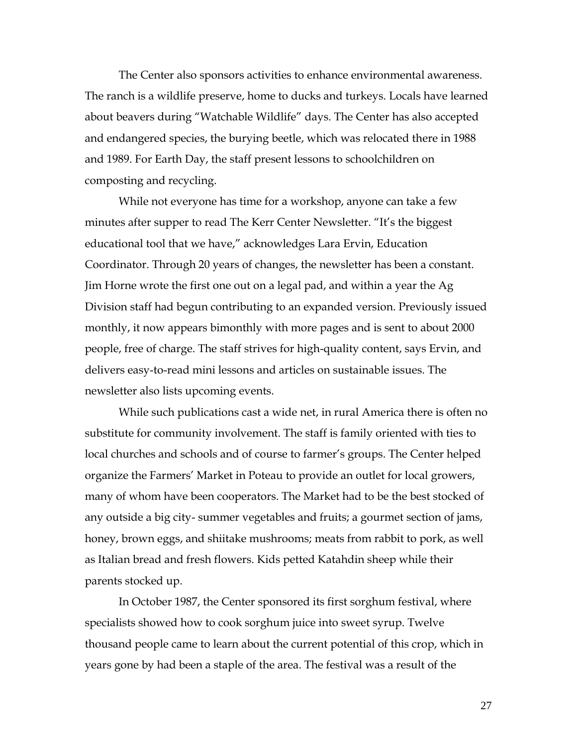The Center also sponsors activities to enhance environmental awareness. The ranch is a wildlife preserve, home to ducks and turkeys. Locals have learned about beavers during "Watchable Wildlife" days. The Center has also accepted and endangered species, the burying beetle, which was relocated there in 1988 and 1989. For Earth Day, the staff present lessons to schoolchildren on composting and recycling.

While not everyone has time for a workshop, anyone can take a few minutes after supper to read The Kerr Center Newsletter. "It's the biggest educational tool that we have," acknowledges Lara Ervin, Education Coordinator. Through 20 years of changes, the newsletter has been a constant. Jim Horne wrote the first one out on a legal pad, and within a year the Ag Division staff had begun contributing to an expanded version. Previously issued monthly, it now appears bimonthly with more pages and is sent to about 2000 people, free of charge. The staff strives for high-quality content, says Ervin, and delivers easy-to-read mini lessons and articles on sustainable issues. The newsletter also lists upcoming events.

While such publications cast a wide net, in rural America there is often no substitute for community involvement. The staff is family oriented with ties to local churches and schools and of course to farmer's groups. The Center helped organize the Farmers' Market in Poteau to provide an outlet for local growers, many of whom have been cooperators. The Market had to be the best stocked of any outside a big city- summer vegetables and fruits; a gourmet section of jams, honey, brown eggs, and shiitake mushrooms; meats from rabbit to pork, as well as Italian bread and fresh flowers. Kids petted Katahdin sheep while their parents stocked up.

In October 1987, the Center sponsored its first sorghum festival, where specialists showed how to cook sorghum juice into sweet syrup. Twelve thousand people came to learn about the current potential of this crop, which in years gone by had been a staple of the area. The festival was a result of the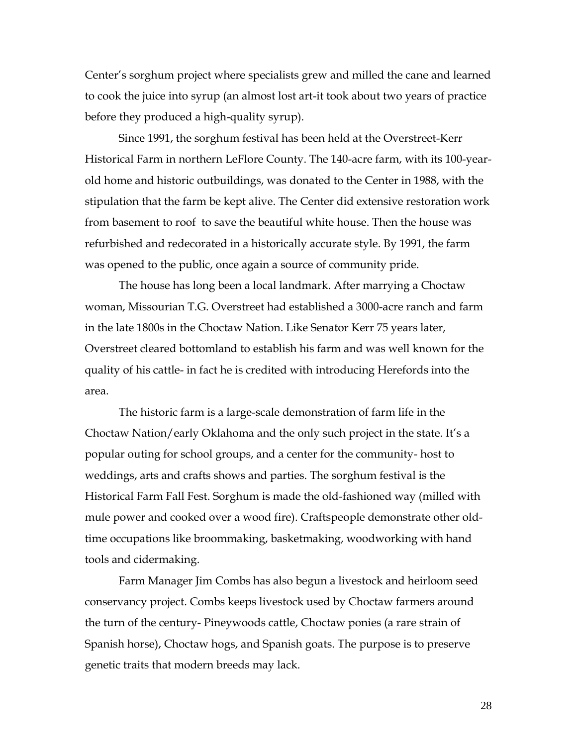Center's sorghum project where specialists grew and milled the cane and learned to cook the juice into syrup (an almost lost art-it took about two years of practice before they produced a high-quality syrup).

Since 1991, the sorghum festival has been held at the Overstreet-Kerr Historical Farm in northern LeFlore County. The 140-acre farm, with its 100-yearold home and historic outbuildings, was donated to the Center in 1988, with the stipulation that the farm be kept alive. The Center did extensive restoration work from basement to roof to save the beautiful white house. Then the house was refurbished and redecorated in a historically accurate style. By 1991, the farm was opened to the public, once again a source of community pride.

The house has long been a local landmark. After marrying a Choctaw woman, Missourian T.G. Overstreet had established a 3000-acre ranch and farm in the late 1800s in the Choctaw Nation. Like Senator Kerr 75 years later, Overstreet cleared bottomland to establish his farm and was well known for the quality of his cattle- in fact he is credited with introducing Herefords into the area.

The historic farm is a large-scale demonstration of farm life in the Choctaw Nation/early Oklahoma and the only such project in the state. It's a popular outing for school groups, and a center for the community- host to weddings, arts and crafts shows and parties. The sorghum festival is the Historical Farm Fall Fest. Sorghum is made the old-fashioned way (milled with mule power and cooked over a wood fire). Craftspeople demonstrate other oldtime occupations like broommaking, basketmaking, woodworking with hand tools and cidermaking.

Farm Manager Jim Combs has also begun a livestock and heirloom seed conservancy project. Combs keeps livestock used by Choctaw farmers around the turn of the century- Pineywoods cattle, Choctaw ponies (a rare strain of Spanish horse), Choctaw hogs, and Spanish goats. The purpose is to preserve genetic traits that modern breeds may lack.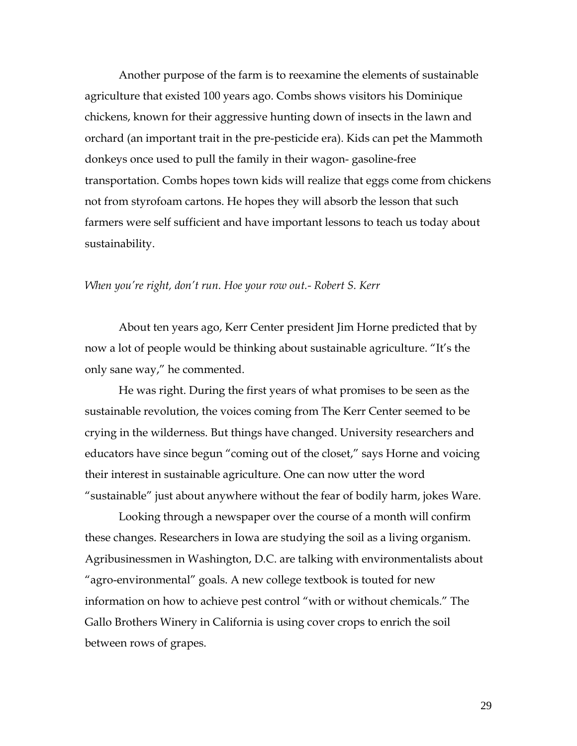Another purpose of the farm is to reexamine the elements of sustainable agriculture that existed 100 years ago. Combs shows visitors his Dominique chickens, known for their aggressive hunting down of insects in the lawn and orchard (an important trait in the pre-pesticide era). Kids can pet the Mammoth donkeys once used to pull the family in their wagon- gasoline-free transportation. Combs hopes town kids will realize that eggs come from chickens not from styrofoam cartons. He hopes they will absorb the lesson that such farmers were self sufficient and have important lessons to teach us today about sustainability.

## *When you're right, don't run. Hoe your row out.- Robert S. Kerr*

About ten years ago, Kerr Center president Jim Horne predicted that by now a lot of people would be thinking about sustainable agriculture. "It's the only sane way," he commented.

He was right. During the first years of what promises to be seen as the sustainable revolution, the voices coming from The Kerr Center seemed to be crying in the wilderness. But things have changed. University researchers and educators have since begun "coming out of the closet," says Horne and voicing their interest in sustainable agriculture. One can now utter the word "sustainable" just about anywhere without the fear of bodily harm, jokes Ware.

Looking through a newspaper over the course of a month will confirm these changes. Researchers in Iowa are studying the soil as a living organism. Agribusinessmen in Washington, D.C. are talking with environmentalists about "agro-environmental" goals. A new college textbook is touted for new information on how to achieve pest control "with or without chemicals." The Gallo Brothers Winery in California is using cover crops to enrich the soil between rows of grapes.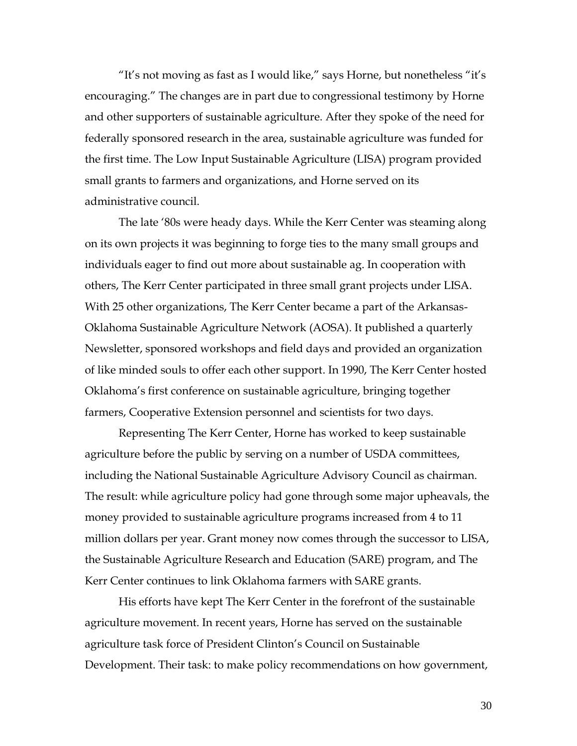"It's not moving as fast as I would like," says Horne, but nonetheless "it's encouraging." The changes are in part due to congressional testimony by Horne and other supporters of sustainable agriculture. After they spoke of the need for federally sponsored research in the area, sustainable agriculture was funded for the first time. The Low Input Sustainable Agriculture (LISA) program provided small grants to farmers and organizations, and Horne served on its administrative council.

The late '80s were heady days. While the Kerr Center was steaming along on its own projects it was beginning to forge ties to the many small groups and individuals eager to find out more about sustainable ag. In cooperation with others, The Kerr Center participated in three small grant projects under LISA. With 25 other organizations, The Kerr Center became a part of the Arkansas-Oklahoma Sustainable Agriculture Network (AOSA). It published a quarterly Newsletter, sponsored workshops and field days and provided an organization of like minded souls to offer each other support. In 1990, The Kerr Center hosted Oklahoma's first conference on sustainable agriculture, bringing together farmers, Cooperative Extension personnel and scientists for two days.

Representing The Kerr Center, Horne has worked to keep sustainable agriculture before the public by serving on a number of USDA committees, including the National Sustainable Agriculture Advisory Council as chairman. The result: while agriculture policy had gone through some major upheavals, the money provided to sustainable agriculture programs increased from 4 to 11 million dollars per year. Grant money now comes through the successor to LISA, the Sustainable Agriculture Research and Education (SARE) program, and The Kerr Center continues to link Oklahoma farmers with SARE grants.

His efforts have kept The Kerr Center in the forefront of the sustainable agriculture movement. In recent years, Horne has served on the sustainable agriculture task force of President Clinton's Council on Sustainable Development. Their task: to make policy recommendations on how government,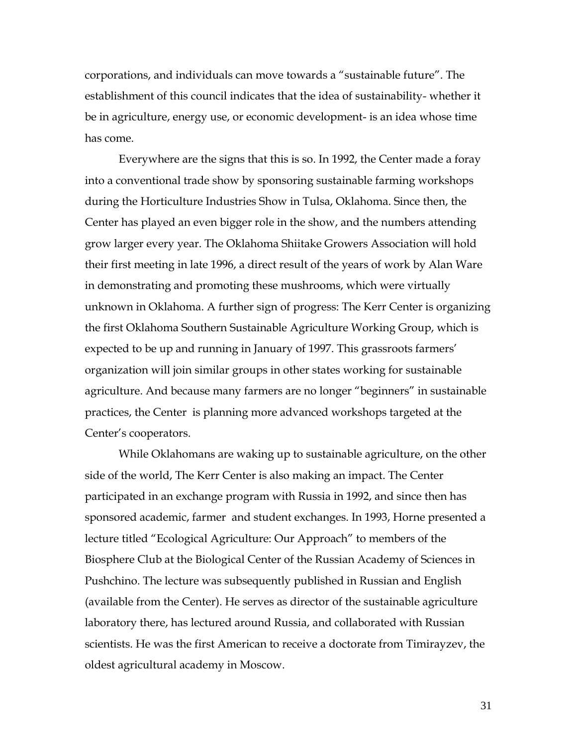corporations, and individuals can move towards a "sustainable future". The establishment of this council indicates that the idea of sustainability- whether it be in agriculture, energy use, or economic development- is an idea whose time has come.

Everywhere are the signs that this is so. In 1992, the Center made a foray into a conventional trade show by sponsoring sustainable farming workshops during the Horticulture Industries Show in Tulsa, Oklahoma. Since then, the Center has played an even bigger role in the show, and the numbers attending grow larger every year. The Oklahoma Shiitake Growers Association will hold their first meeting in late 1996, a direct result of the years of work by Alan Ware in demonstrating and promoting these mushrooms, which were virtually unknown in Oklahoma. A further sign of progress: The Kerr Center is organizing the first Oklahoma Southern Sustainable Agriculture Working Group, which is expected to be up and running in January of 1997. This grassroots farmers' organization will join similar groups in other states working for sustainable agriculture. And because many farmers are no longer "beginners" in sustainable practices, the Center is planning more advanced workshops targeted at the Center's cooperators.

While Oklahomans are waking up to sustainable agriculture, on the other side of the world, The Kerr Center is also making an impact. The Center participated in an exchange program with Russia in 1992, and since then has sponsored academic, farmer and student exchanges. In 1993, Horne presented a lecture titled "Ecological Agriculture: Our Approach" to members of the Biosphere Club at the Biological Center of the Russian Academy of Sciences in Pushchino. The lecture was subsequently published in Russian and English (available from the Center). He serves as director of the sustainable agriculture laboratory there, has lectured around Russia, and collaborated with Russian scientists. He was the first American to receive a doctorate from Timirayzev, the oldest agricultural academy in Moscow.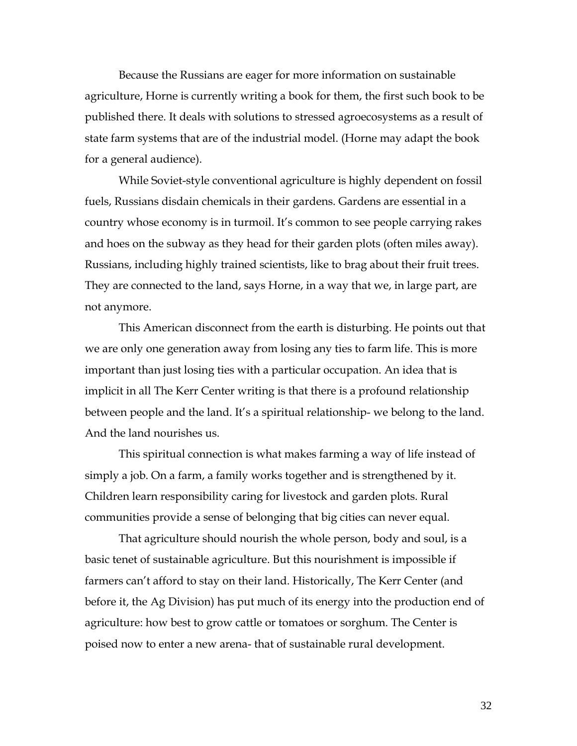Because the Russians are eager for more information on sustainable agriculture, Horne is currently writing a book for them, the first such book to be published there. It deals with solutions to stressed agroecosystems as a result of state farm systems that are of the industrial model. (Horne may adapt the book for a general audience).

While Soviet-style conventional agriculture is highly dependent on fossil fuels, Russians disdain chemicals in their gardens. Gardens are essential in a country whose economy is in turmoil. It's common to see people carrying rakes and hoes on the subway as they head for their garden plots (often miles away). Russians, including highly trained scientists, like to brag about their fruit trees. They are connected to the land, says Horne, in a way that we, in large part, are not anymore.

This American disconnect from the earth is disturbing. He points out that we are only one generation away from losing any ties to farm life. This is more important than just losing ties with a particular occupation. An idea that is implicit in all The Kerr Center writing is that there is a profound relationship between people and the land. It's a spiritual relationship- we belong to the land. And the land nourishes us.

This spiritual connection is what makes farming a way of life instead of simply a job. On a farm, a family works together and is strengthened by it. Children learn responsibility caring for livestock and garden plots. Rural communities provide a sense of belonging that big cities can never equal.

That agriculture should nourish the whole person, body and soul, is a basic tenet of sustainable agriculture. But this nourishment is impossible if farmers can't afford to stay on their land. Historically, The Kerr Center (and before it, the Ag Division) has put much of its energy into the production end of agriculture: how best to grow cattle or tomatoes or sorghum. The Center is poised now to enter a new arena- that of sustainable rural development.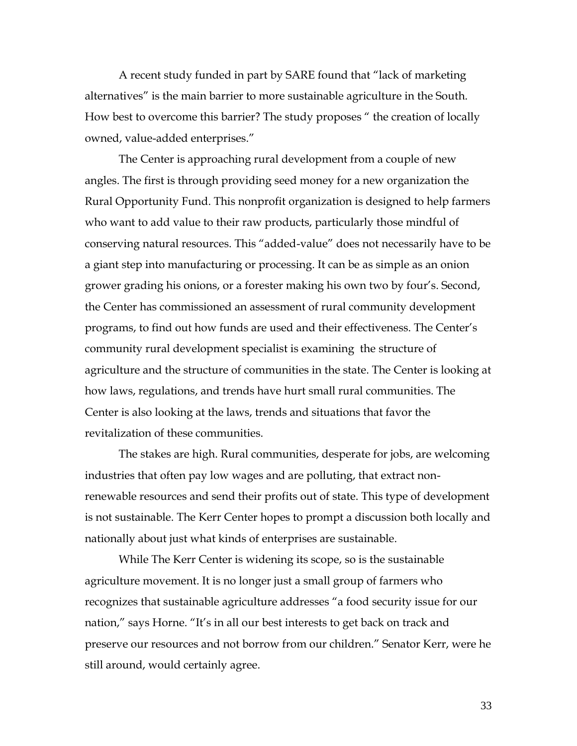A recent study funded in part by SARE found that "lack of marketing alternatives" is the main barrier to more sustainable agriculture in the South. How best to overcome this barrier? The study proposes " the creation of locally owned, value-added enterprises."

The Center is approaching rural development from a couple of new angles. The first is through providing seed money for a new organization the Rural Opportunity Fund. This nonprofit organization is designed to help farmers who want to add value to their raw products, particularly those mindful of conserving natural resources. This "added-value" does not necessarily have to be a giant step into manufacturing or processing. It can be as simple as an onion grower grading his onions, or a forester making his own two by four's. Second, the Center has commissioned an assessment of rural community development programs, to find out how funds are used and their effectiveness. The Center's community rural development specialist is examining the structure of agriculture and the structure of communities in the state. The Center is looking at how laws, regulations, and trends have hurt small rural communities. The Center is also looking at the laws, trends and situations that favor the revitalization of these communities.

The stakes are high. Rural communities, desperate for jobs, are welcoming industries that often pay low wages and are polluting, that extract nonrenewable resources and send their profits out of state. This type of development is not sustainable. The Kerr Center hopes to prompt a discussion both locally and nationally about just what kinds of enterprises are sustainable.

While The Kerr Center is widening its scope, so is the sustainable agriculture movement. It is no longer just a small group of farmers who recognizes that sustainable agriculture addresses "a food security issue for our nation," says Horne. "It's in all our best interests to get back on track and preserve our resources and not borrow from our children." Senator Kerr, were he still around, would certainly agree.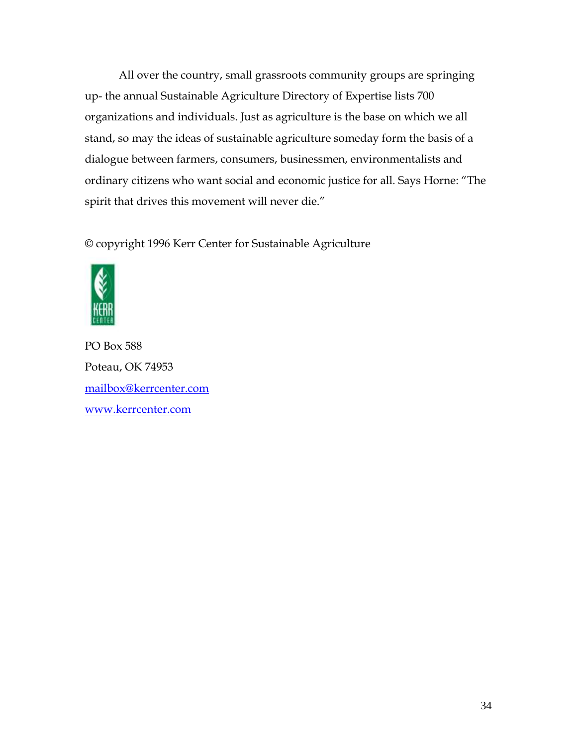All over the country, small grassroots community groups are springing up- the annual Sustainable Agriculture Directory of Expertise lists 700 organizations and individuals. Just as agriculture is the base on which we all stand, so may the ideas of sustainable agriculture someday form the basis of a dialogue between farmers, consumers, businessmen, environmentalists and ordinary citizens who want social and economic justice for all. Says Horne: "The spirit that drives this movement will never die."

© copyright 1996 Kerr Center for Sustainable Agriculture



PO Box 588 Poteau, OK 74953 [mailbox@kerrcenter.com](mailto:mailbox@kerrcenter.com) [www.kerrcenter.com](http://www.kerrcenter.com/)